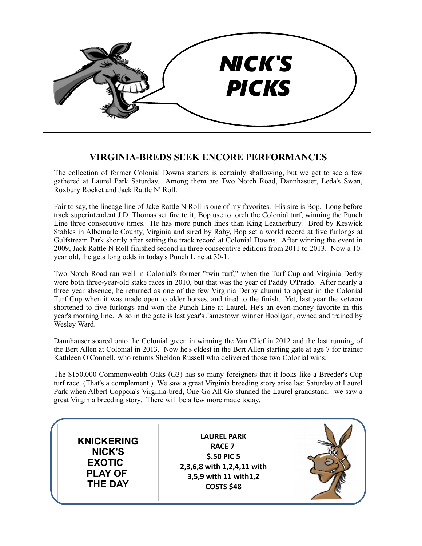

## **VIRGINIA-BREDS SEEK ENCORE PERFORMANCES**

The collection of former Colonial Downs starters is certainly shallowing, but we get to see a few gathered at Laurel Park Saturday. Among them are Two Notch Road, Dannhasuer, Leda's Swan, Roxbury Rocket and Jack Rattle N' Roll.

Fair to say, the lineage line of Jake Rattle N Roll is one of my favorites. His sire is Bop. Long before track superintendent J.D. Thomas set fire to it, Bop use to torch the Colonial turf, winning the Punch Line three consecutive times. He has more punch lines than King Leatherbury. Bred by Keswick Stables in Albemarle County, Virginia and sired by Rahy, Bop set a world record at five furlongs at Gulfstream Park shortly after setting the track record at Colonial Downs. After winning the event in 2009, Jack Rattle N Roll finished second in three consecutive editions from 2011 to 2013. Now a 10 year old, he gets long odds in today's Punch Line at 30-1.

Two Notch Road ran well in Colonial's former "twin turf," when the Turf Cup and Virginia Derby were both three-year-old stake races in 2010, but that was the year of Paddy O'Prado. After nearly a three year absence, he returned as one of the few Virginia Derby alumni to appear in the Colonial Turf Cup when it was made open to older horses, and tired to the finish. Yet, last year the veteran shortened to five furlongs and won the Punch Line at Laurel. He's an even-money favorite in this year's morning line. Also in the gate is last year's Jamestown winner Hooligan, owned and trained by Wesley Ward.

Dannhauser soared onto the Colonial green in winning the Van Clief in 2012 and the last running of the Bert Allen at Colonial in 2013. Now he's eldest in the Bert Allen starting gate at age 7 for trainer Kathleen O'Connell, who returns Sheldon Russell who delivered those two Colonial wins.

The \$150,000 Commonwealth Oaks (G3) has so many foreigners that it looks like a Breeder's Cup turf race. (That's a complement.) We saw a great Virginia breeding story arise last Saturday at Laurel Park when Albert Coppola's Virginia-bred, One Go All Go stunned the Laurel grandstand. we saw a great Virginia breeding story. There will be a few more made today.

**KNICKERING NICK'S EXOTIC PLAY OF THE DAY**

**LAUREL PARK RACE 7 \$.50 PIC 5 2,3,6,8 with 1,2,4,11 with 3,5,9 with 11 with1,2 COSTS \$48**